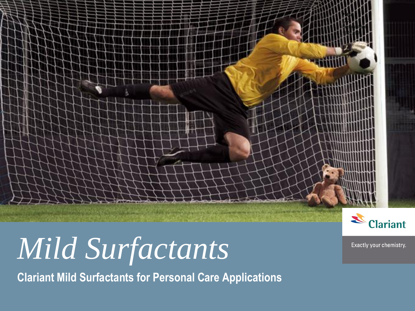## *Mild Surfactants*

**Clariant Mild Surfactants for Personal Care Applications**



**Public** IO Personal Care 16.02.2009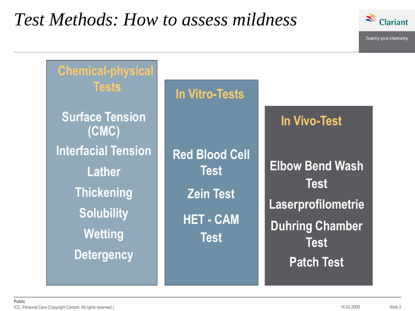### *Test Methods: How to assess mildness*



| <b>Chemical-physical</b><br><b>Tests</b>                                                                                     | <b>In Vitro-Tests</b>                                                                     |                                                                                                                           |
|------------------------------------------------------------------------------------------------------------------------------|-------------------------------------------------------------------------------------------|---------------------------------------------------------------------------------------------------------------------------|
| <b>Surface Tension</b><br>(CMC)                                                                                              |                                                                                           | <b>In Vivo-Test</b>                                                                                                       |
| <b>Interfacial Tension</b><br><b>Lather</b><br><b>Thickening</b><br><b>Solubility</b><br><b>Wetting</b><br><b>Detergency</b> | <b>Red Blood Cell</b><br><b>Test</b><br><b>Zein Test</b><br><b>HET-CAM</b><br><b>Test</b> | <b>Elbow Bend Wash</b><br><b>Test</b><br>Laserprofilometrie<br><b>Duhring Chamber</b><br><b>Test</b><br><b>Patch Test</b> |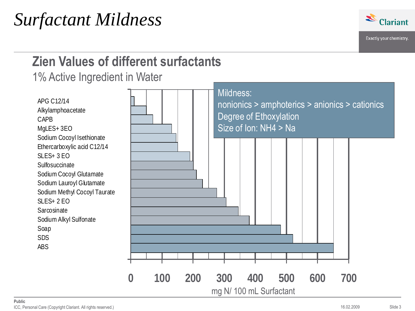

### **Zien Values of different surfactants**

1% Active Ingredient in Water

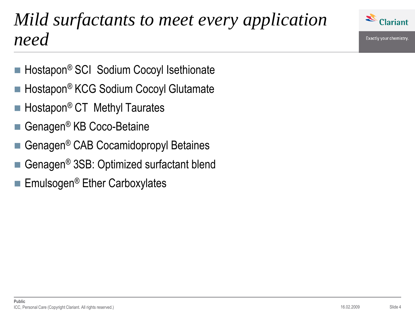

### *Mild surfactants to meet every application need*

- Hostapon<sup>®</sup> SCI Sodium Cocoyl Isethionate
- Hostapon<sup>®</sup> KCG Sodium Cocoyl Glutamate
- $\blacksquare$  Hostapon<sup>®</sup> CT Methyl Taurates
- Genagen<sup>®</sup> KB Coco-Betaine
- Genagen® CAB Cocamidopropyl Betaines
- Genagen® 3SB: Optimized surfactant blend
- Emulsogen<sup>®</sup> Ether Carboxylates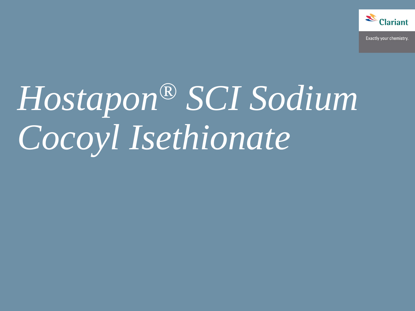

# *Hostapon® SCI Sodium Cocoyl Isethionate*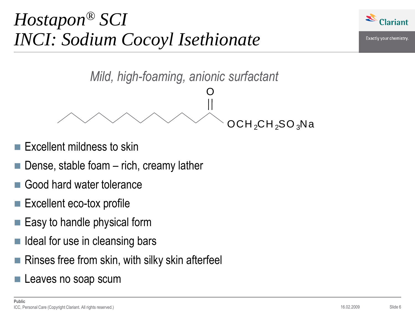## *Hostapon® SCI INCI: Sodium Cocoyl Isethionate*





- Excellent mildness to skin
- Dense, stable foam rich, creamy lather
- Good hard water tolerance
- Excellent eco-tox profile
- $\blacksquare$  Easy to handle physical form
- $\blacksquare$  Ideal for use in cleansing bars
- Rinses free from skin, with silky skin afterfeel
- Leaves no soap scum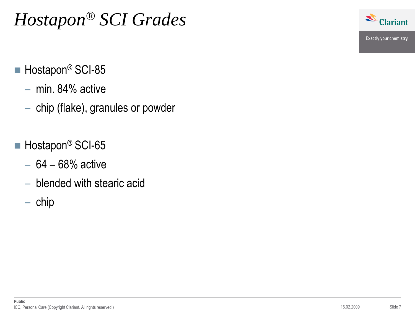### *Hostapon® SCI Grades*



- $\blacksquare$  Hostapon<sup>®</sup> SCI-85
	- min. 84% active
	- chip (flake), granules or powder
- $\blacksquare$  Hostapon<sup>®</sup> SCI-65
	- $-64 68%$  active
	- blended with stearic acid
	- $-$  chip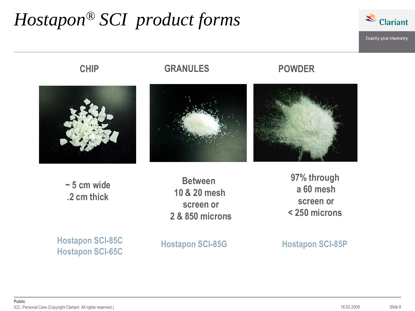## *Hostapon® SCI product forms*



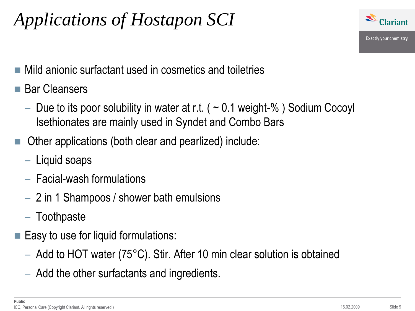## *Applications of Hostapon SCI*



- Mild anionic surfactant used in cosmetics and toiletries
- Bar Cleansers
	- Due to its poor solubility in water at r.t. ( $\sim$  0.1 weight-%) Sodium Cocoyl Isethionates are mainly used in Syndet and Combo Bars
- Other applications (both clear and pearlized) include:
	- Liquid soaps
	- Facial-wash formulations
	- 2 in 1 Shampoos / shower bath emulsions
	- Toothpaste
- $\blacksquare$  Easy to use for liquid formulations:
	- Add to HOT water (75°C). Stir. After 10 min clear solution is obtained
	- Add the other surfactants and ingredients.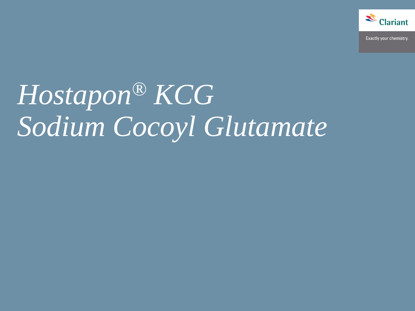

## *Hostapon® KCG Sodium Cocoyl Glutamate*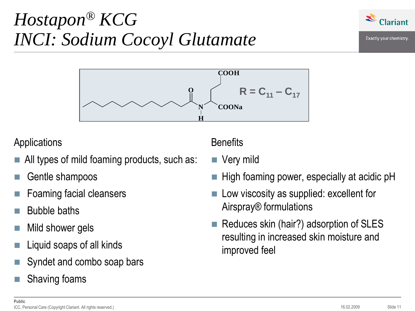## *Hostapon® KCG INCI: Sodium Cocoyl Glutamate*



### Applications

- All types of mild foaming products, such as:
- Gentle shampoos
- Foaming facial cleansers
- Bubble baths
- Mild shower gels
- Liquid soaps of all kinds
- Syndet and combo soap bars
- Shaving foams

### **Benefits**

- Very mild
- High foaming power, especially at acidic pH
- Low viscosity as supplied: excellent for Airspray® formulations
- Reduces skin (hair?) adsorption of SLES resulting in increased skin moisture and improved feel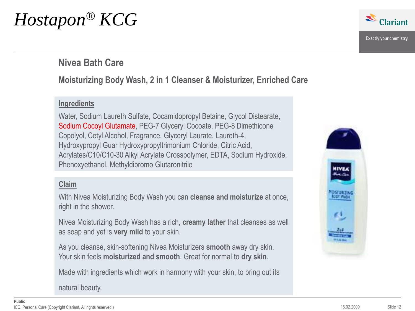## *Hostapon® KCG*



### **Nivea Bath Care**

### **Moisturizing Body Wash, 2 in 1 Cleanser & Moisturizer, Enriched Care**

### **Ingredients**

Water, Sodium Laureth Sulfate, Cocamidopropyl Betaine, Glycol Distearate, Sodium Cocoyl Glutamate, PEG-7 Glyceryl Cocoate, PEG-8 Dimethicone Copolyol, Cetyl Alcohol, Fragrance, Glyceryl Laurate, Laureth-4, Hydroxypropyl Guar Hydroxypropyltrimonium Chloride, Citric Acid, Acrylates/C10/C10-30 Alkyl Acrylate Crosspolymer, EDTA, Sodium Hydroxide, Phenoxyethanol, Methyldibromo Glutaronitrile

#### **Claim**

With Nivea Moisturizing Body Wash you can **cleanse and moisturize** at once, right in the shower.

Nivea Moisturizing Body Wash has a rich, **creamy lather** that cleanses as well as soap and yet is **very mild** to your skin.

As you cleanse, skin-softening Nivea Moisturizers **smooth** away dry skin. Your skin feels **moisturized and smooth**. Great for normal to **dry skin**.

Made with ingredients which work in harmony with your skin, to bring out its

natural beauty.

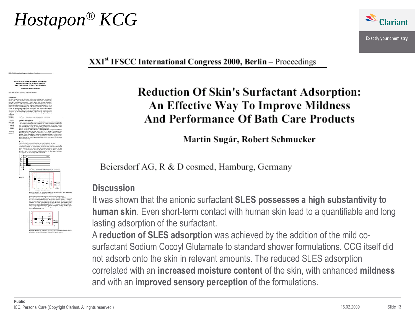### *Hostapon® KCG*



#### $XXI<sup>st</sup> IFSCC International Congress 2000, Berlin – Proceedings$

### **Reduction Of Skin's Surfactant Adsorption:** An Effective Way To Improve Mildness And Performance Of Bath Care Products

Martin Sugár, Robert Schmucker

Beiersdorf AG, R & D cosmed, Hamburg, Germany

### **Discussion**

It was shown that the anionic surfactant **SLES possesses a high substantivity to human skin**. Even short-term contact with human skin lead to a quantifiable and long lasting adsorption of the surfactant.

A **reduction of SLES adsorption** was achieved by the addition of the mild cosurfactant Sodium Cocoyl Glutamate to standard shower formulations. CCG itself did not adsorb onto the skin in relevant amounts. The reduced SLES adsorption correlated with an **increased moisture content** of the skin, with enhanced **mildness** and with an **improved sensory perception** of the formulations.

.<br>Ngas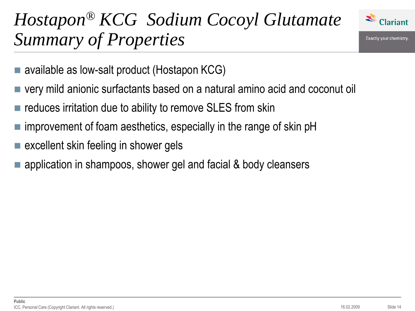#### Z **Clariant**

## *Hostapon® KCG Sodium Cocoyl Glutamate Summary of Properties*

- available as low-salt product (Hostapon KCG)
- very mild anionic surfactants based on a natural amino acid and coconut oil
- reduces irritation due to ability to remove SLES from skin
- improvement of foam aesthetics, especially in the range of skin pH
- excellent skin feeling in shower gels
- application in shampoos, shower gel and facial & body cleansers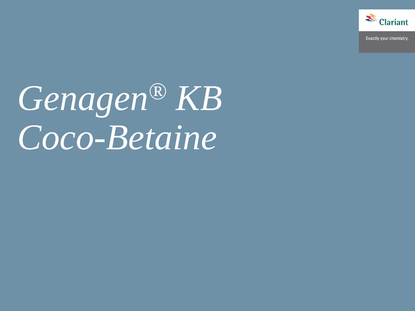

# *Genagen® KB Coco-Betaine*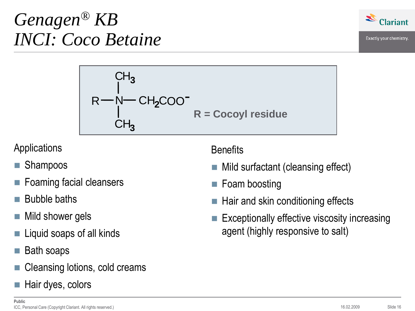## *Genagen® KB INCI: Coco Betaine*



Exactly your chemistry.

$$
R - N - CH2COO-
$$
  
\n
$$
CH3
$$
  
\n
$$
CH3
$$
  
\nR = Cocoyl residue

Applications

- Shampoos
- Foaming facial cleansers
- Bubble baths
- Mild shower gels
- Liquid soaps of all kinds
- Bath soaps
- Cleansing lotions, cold creams
- Hair dyes, colors

**Benefits** 

- Mild surfactant (cleansing effect)
- Foam boosting
- $\blacksquare$  Hair and skin conditioning effects
- **Exceptionally effective viscosity increasing** agent (highly responsive to salt)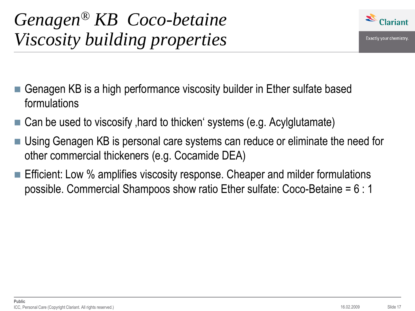

- Genagen KB is a high performance viscosity builder in Ether sulfate based formulations
- $\blacksquare$  Can be used to viscosify , hard to thicken systems (e.g. Acylglutamate)
- Using Genagen KB is personal care systems can reduce or eliminate the need for other commercial thickeners (e.g. Cocamide DEA)
- **Efficient: Low % amplifies viscosity response. Cheaper and milder formulations** possible. Commercial Shampoos show ratio Ether sulfate: Coco-Betaine = 6 : 1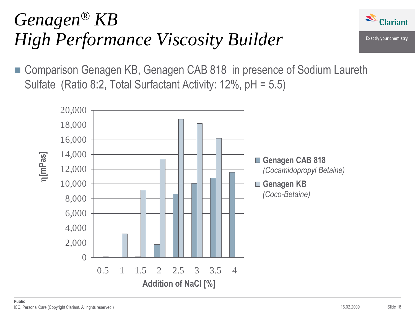### *Genagen® KB High Performance Viscosity Builder*



Exactly your chemistry.

■ Comparison Genagen KB, Genagen CAB 818 in presence of Sodium Laureth Sulfate (Ratio 8:2, Total Surfactant Activity: 12%, pH = 5.5)

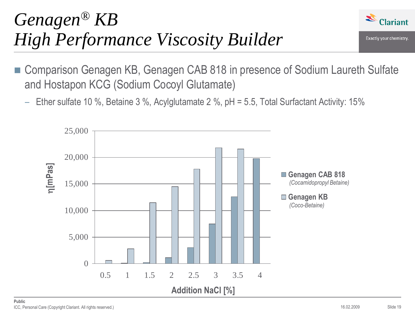## *Genagen® KB High Performance Viscosity Builder*



- Comparison Genagen KB, Genagen CAB 818 in presence of Sodium Laureth Sulfate and Hostapon KCG (Sodium Cocoyl Glutamate)
	- Ether sulfate 10 %, Betaine 3 %, Acylglutamate 2 %, pH = 5.5, Total Surfactant Activity: 15%

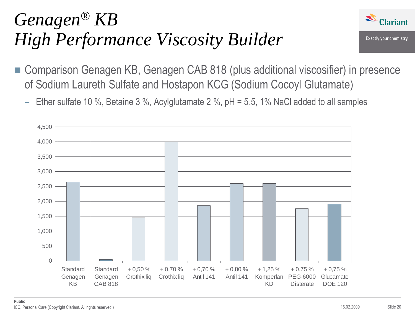### *Genagen® KB High Performance Viscosity Builder*



- Comparison Genagen KB, Genagen CAB 818 (plus additional viscosifier) in presence of Sodium Laureth Sulfate and Hostapon KCG (Sodium Cocoyl Glutamate)
	- $-$  Ether sulfate 10 %, Betaine 3 %, Acylglutamate 2 %, pH = 5.5, 1% NaCl added to all samples

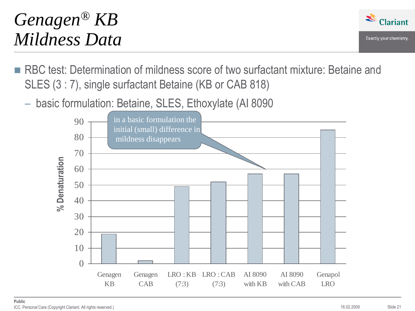## *Genagen® KB Mildness Data*



- RBC test: Determination of mildness score of two surfactant mixture: Betaine and SLES (3 : 7), single surfactant Betaine (KB or CAB 818)
	- basic formulation: Betaine, SLES, Ethoxylate (AI 8090

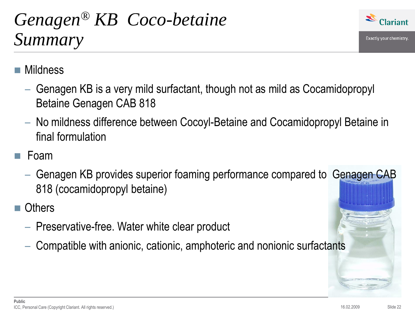## *Genagen® KB Coco-betaine Summary*



### Mildness

- Genagen KB is a very mild surfactant, though not as mild as Cocamidopropyl Betaine Genagen CAB 818
- No mildness difference between Cocoyl-Betaine and Cocamidopropyl Betaine in final formulation
- Foam
	- Genagen KB provides superior foaming performance compared to Genagen CAB 818 (cocamidopropyl betaine)
- **Others** 
	- Preservative-free. Water white clear product
	- Compatible with anionic, cationic, amphoteric and nonionic surfactants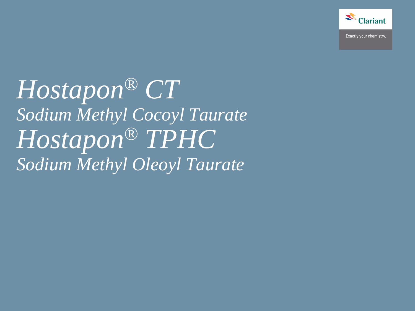

*Hostapon® CT Sodium Methyl Cocoyl Taurate Hostapon® TPHC Sodium Methyl Oleoyl Taurate*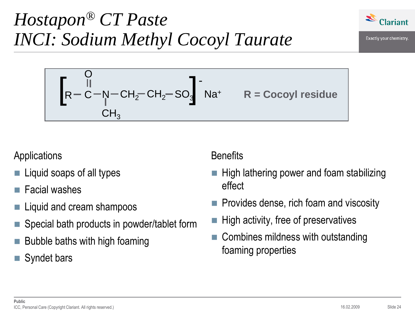## *Hostapon® CT Paste INCI: Sodium Methyl Cocoyl Taurate*



$$
\left[R - \frac{0}{C} - N - CH_2 - CH_2 - SO_3\right]^{-1} Na^{+}
$$
 R = Cocoyl residue CH<sub>3</sub>

### Applications

- Liquid soaps of all types
- Facial washes
- Liquid and cream shampoos
- Special bath products in powder/tablet form
- Bubble baths with high foaming
- Syndet bars

### **Benefits**

- High lathering power and foam stabilizing effect
- Provides dense, rich foam and viscosity
- High activity, free of preservatives
- Combines mildness with outstanding foaming properties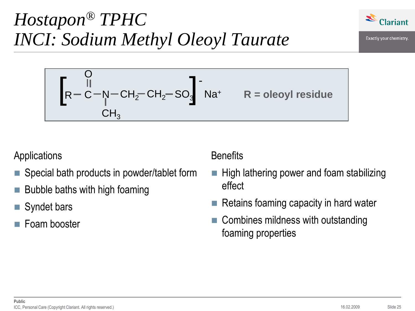## *Hostapon® TPHC INCI: Sodium Methyl Oleoyl Taurate*



$$
\left[R - \frac{0}{C} - N - CH_2 - CH_2 - SO_3\right]
$$
 
$$
Na^{+}
$$
  $R =$ oleoyl residue  $CH_3$ 

Applications

- Special bath products in powder/tablet form
- Bubble baths with high foaming
- Syndet bars
- Foam booster

**Benefits** 

- $\blacksquare$  High lathering power and foam stabilizing effect
- Retains foaming capacity in hard water
- Combines mildness with outstanding foaming properties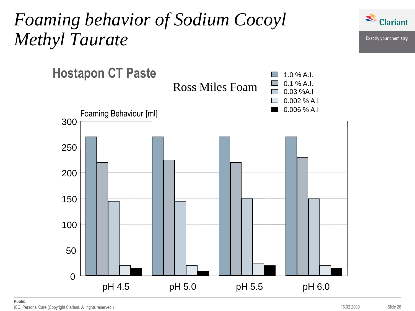### *Foaming behavior of Sodium Cocoyl Methyl Taurate*



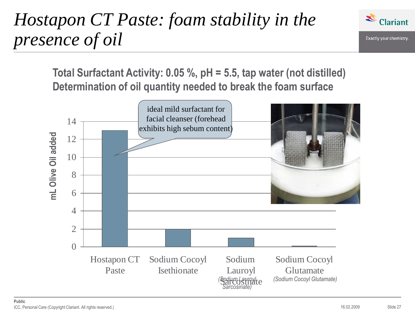## *Hostapon CT Paste: foam stability in the presence of oil*



Exactly your chemistry.

**Total Surfactant Activity: 0.05 %, pH = 5.5, tap water (not distilled) Determination of oil quantity needed to break the foam surface**

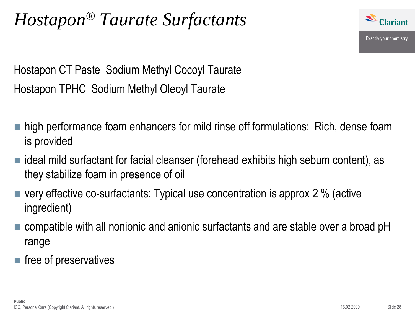

Hostapon CT Paste Sodium Methyl Cocoyl Taurate Hostapon TPHC Sodium Methyl Oleoyl Taurate

- **high performance foam enhancers for mild rinse off formulations: Rich, dense foam** is provided
- ideal mild surfactant for facial cleanser (forehead exhibits high sebum content), as they stabilize foam in presence of oil
- $\blacksquare$  very effective co-surfactants: Typical use concentration is approx 2 % (active ingredient)
- compatible with all nonionic and anionic surfactants and are stable over a broad pH range
- $\blacksquare$  free of preservatives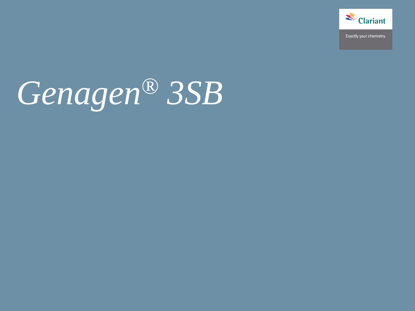

# *Genagen® 3SB*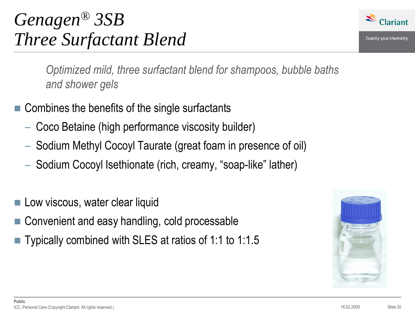## *Genagen® 3SB Three Surfactant Blend*



Exactly your chemistry.

*Optimized mild, three surfactant blend for shampoos, bubble baths and shower gels*

- $\blacksquare$  Combines the benefits of the single surfactants
	- Coco Betaine (high performance viscosity builder)
	- Sodium Methyl Cocoyl Taurate (great foam in presence of oil)
	- Sodium Cocoyl Isethionate (rich, creamy, "soap-like" lather)
- Low viscous, water clear liquid
- Convenient and easy handling, cold processable
- Typically combined with SLES at ratios of 1:1 to 1:1.5

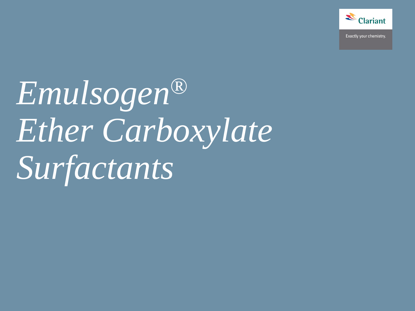

*Emulsogen® Ether Carboxylate Surfactants*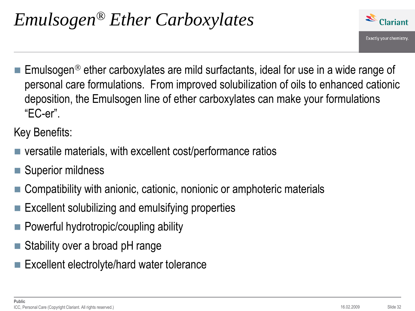

Emulsogen<sup>®</sup> ether carboxylates are mild surfactants, ideal for use in a wide range of personal care formulations. From improved solubilization of oils to enhanced cationic deposition, the Emulsogen line of ether carboxylates can make your formulations "EC-er".

Key Benefits:

- versatile materials, with excellent cost/performance ratios
- Superior mildness
- Compatibility with anionic, cationic, nonionic or amphoteric materials
- $\blacksquare$  Excellent solubilizing and emulsifying properties
- Powerful hydrotropic/coupling ability
- Stability over a broad pH range
- Excellent electrolyte/hard water tolerance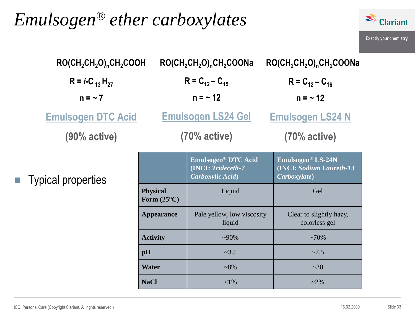### *Emulsogen® ether carboxylates*



| $RO(CH_2CH_2O)$ <sub>n</sub> CH <sub>2</sub> COOH |                                         | $RO(CH_2CH_2O)$ <sub>n</sub> CH <sub>2</sub> COONa                         | $RO(CH_2CH_2O)$ <sub>n</sub> CH <sub>2</sub> COONa                    |
|---------------------------------------------------|-----------------------------------------|----------------------------------------------------------------------------|-----------------------------------------------------------------------|
| $R = i-C_{13}H_{27}$                              |                                         | $R = C_{12} - C_{15}$                                                      | $R = C_{12} - C_{16}$                                                 |
| $n = -7$                                          | $n = -12$                               |                                                                            | $n = -12$                                                             |
| <b>Emulsogen DTC Acid</b>                         |                                         | <b>Emulsogen LS24 Gel</b>                                                  | <b>Emulsogen LS24 N</b>                                               |
| $(90%$ active)                                    |                                         | $(70%$ active)                                                             | $(70%$ active)                                                        |
| <b>Typical properties</b>                         |                                         | Emulsogen <sup>®</sup> DTC Acid<br>(INCI: Trideceth-7)<br>Carboxylic Acid) | <b>Emulsogen® LS-24N</b><br>(INCI: Sodium Laureth-13)<br>Carboxylate) |
|                                                   | <b>Physical</b><br>Form $(25^{\circ}C)$ | Liquid                                                                     | Gel                                                                   |
|                                                   | <b>Appearance</b>                       | Pale yellow, low viscosity<br>liquid                                       | Clear to slightly hazy,<br>colorless gel                              |
|                                                   | <b>Activity</b>                         | $~10\%$                                                                    | $~10\%$                                                               |
|                                                   | pH                                      | ~23.5                                                                      | ~27.5                                                                 |
|                                                   | <b>Water</b>                            | $~18\%$                                                                    | ~20                                                                   |
|                                                   | <b>NaCl</b>                             | ${<}1\%$                                                                   | $~2\%$                                                                |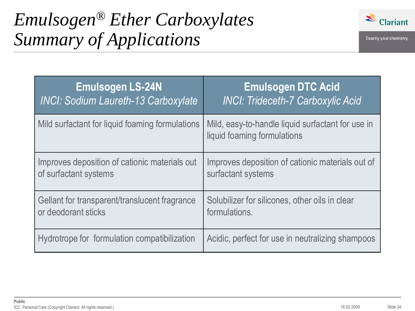

## *Emulsogen® Ether Carboxylates Summary of Applications*

| <b>Emulsogen LS-24N</b>                         | <b>Emulsogen DTC Acid</b>                                                        |
|-------------------------------------------------|----------------------------------------------------------------------------------|
| <b>INCI: Sodium Laureth-13 Carboxylate</b>      | <b>INCI: Trideceth-7 Carboxylic Acid</b>                                         |
| Mild surfactant for liquid foaming formulations | Mild, easy-to-handle liquid surfactant for use in<br>liquid foaming formulations |
| Improves deposition of cationic materials out   | Improves deposition of cationic materials out of                                 |
| of surfactant systems                           | surfactant systems                                                               |
| Gellant for transparent/translucent fragrance   | Solubilizer for silicones, other oils in clear                                   |
| or deodorant sticks                             | formulations.                                                                    |
| Hydrotrope for formulation compatibilization    | Acidic, perfect for use in neutralizing shampoos                                 |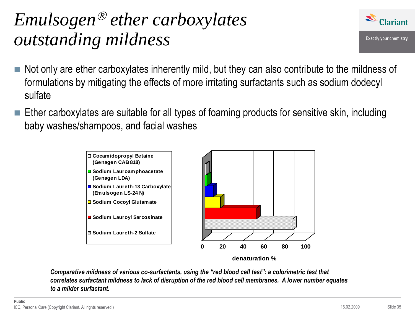### *Emulsogen ether carboxylates outstanding mildness*

- Not only are ether carboxylates inherently mild, but they can also contribute to the mildness of formulations by mitigating the effects of more irritating surfactants such as sodium dodecyl sulfate
- $\blacksquare$  Ether carboxylates are suitable for all types of foaming products for sensitive skin, including baby washes/shampoos, and facial washes



*Comparative mildness of various co-surfactants, using the "red blood cell test": a colorimetric test that correlates surfactant mildness to lack of disruption of the red blood cell membranes. A lower number equates to a milder surfactant.*

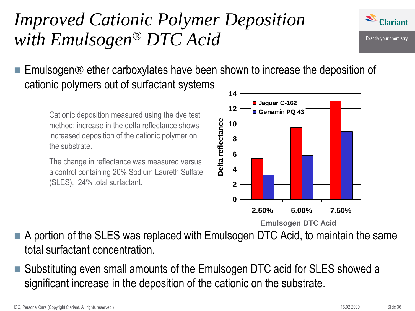### *Improved Cationic Polymer Deposition with Emulsogen® DTC Acid*



Exactly your chemistry.

Emulsogen ® ether carboxylates have been shown to increase the deposition of cationic polymers out of surfactant systems

Cationic deposition measured using the dye test method: increase in the delta reflectance shows increased deposition of the cationic polymer on the substrate.

The change in reflectance was measured versus a control containing 20% Sodium Laureth Sulfate (SLES), 24% total surfactant.



A portion of the SLES was replaced with Emulsogen DTC Acid, to maintain the same total surfactant concentration.

 Substituting even small amounts of the Emulsogen DTC acid for SLES showed a significant increase in the deposition of the cationic on the substrate.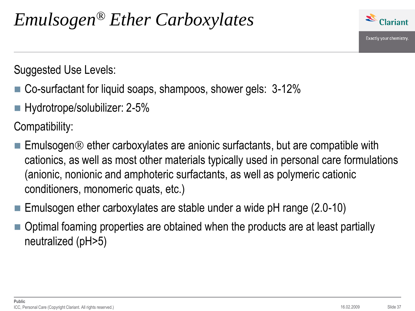

Suggested Use Levels:

- Co-surfactant for liquid soaps, shampoos, shower gels: 3-12%
- Hydrotrope/solubilizer: 2-5%

Compatibility:

- **Emulsogen**  $\odot$  **ether carboxylates are anionic surfactants, but are compatible with** cationics, as well as most other materials typically used in personal care formulations (anionic, nonionic and amphoteric surfactants, as well as polymeric cationic conditioners, monomeric quats, etc.)
- **Emulsogen ether carboxylates are stable under a wide pH range**  $(2.0-10)$
- Optimal foaming properties are obtained when the products are at least partially neutralized (pH>5)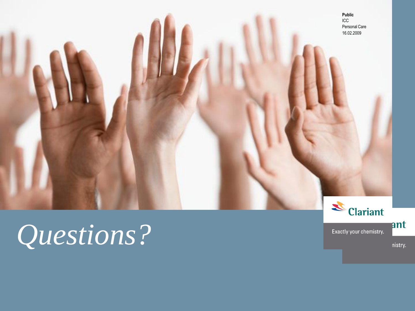**Public** ICC Personal Care 16.02.2009

& Clariant

Exactly your chemistry.

## *Questions?*

nistry.

ant